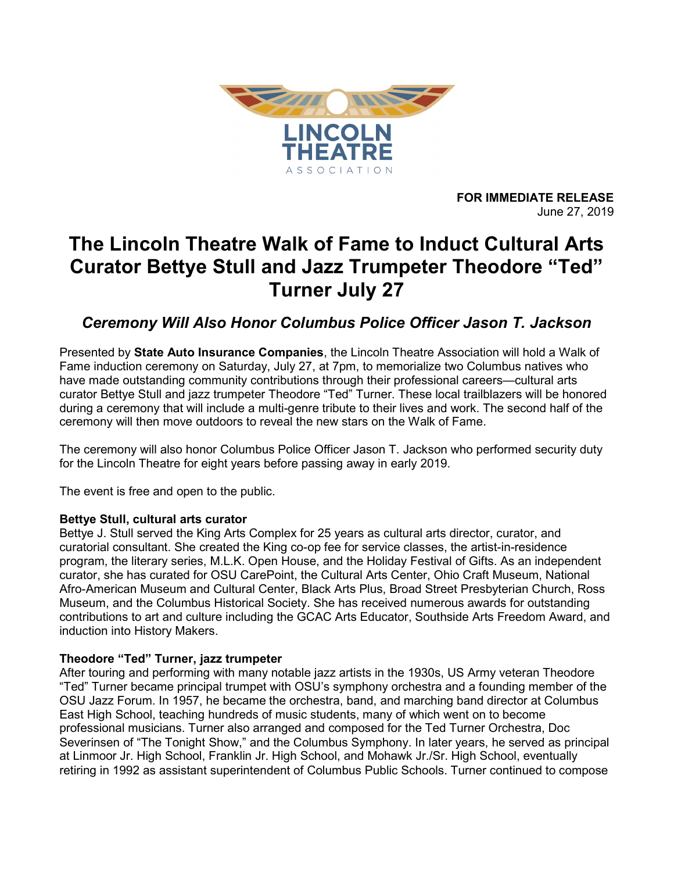

FOR IMMEDIATE RELEASE June 27, 2019

# The Lincoln Theatre Walk of Fame to Induct Cultural Arts Curator Bettye Stull and Jazz Trumpeter Theodore "Ted" Turner July 27

Ceremony Will Also Honor Columbus Police Officer Jason T. Jackson

Presented by State Auto Insurance Companies, the Lincoln Theatre Association will hold a Walk of Fame induction ceremony on Saturday, July 27, at 7pm, to memorialize two Columbus natives who have made outstanding community contributions through their professional careers—cultural arts curator Bettye Stull and jazz trumpeter Theodore "Ted" Turner. These local trailblazers will be honored during a ceremony that will include a multi-genre tribute to their lives and work. The second half of the ceremony will then move outdoors to reveal the new stars on the Walk of Fame.

The ceremony will also honor Columbus Police Officer Jason T. Jackson who performed security duty for the Lincoln Theatre for eight years before passing away in early 2019.

The event is free and open to the public.

## Bettye Stull, cultural arts curator

Bettye J. Stull served the King Arts Complex for 25 years as cultural arts director, curator, and curatorial consultant. She created the King co-op fee for service classes, the artist-in-residence program, the literary series, M.L.K. Open House, and the Holiday Festival of Gifts. As an independent curator, she has curated for OSU CarePoint, the Cultural Arts Center, Ohio Craft Museum, National Afro-American Museum and Cultural Center, Black Arts Plus, Broad Street Presbyterian Church, Ross Museum, and the Columbus Historical Society. She has received numerous awards for outstanding contributions to art and culture including the GCAC Arts Educator, Southside Arts Freedom Award, and induction into History Makers.

## Theodore "Ted" Turner, jazz trumpeter

After touring and performing with many notable jazz artists in the 1930s, US Army veteran Theodore "Ted" Turner became principal trumpet with OSU's symphony orchestra and a founding member of the OSU Jazz Forum. In 1957, he became the orchestra, band, and marching band director at Columbus East High School, teaching hundreds of music students, many of which went on to become professional musicians. Turner also arranged and composed for the Ted Turner Orchestra, Doc Severinsen of "The Tonight Show," and the Columbus Symphony. In later years, he served as principal at Linmoor Jr. High School, Franklin Jr. High School, and Mohawk Jr./Sr. High School, eventually retiring in 1992 as assistant superintendent of Columbus Public Schools. Turner continued to compose